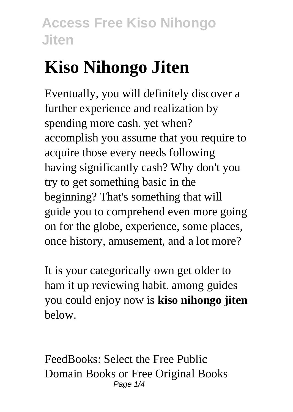# **Kiso Nihongo Jiten**

Eventually, you will definitely discover a further experience and realization by spending more cash. yet when? accomplish you assume that you require to acquire those every needs following having significantly cash? Why don't you try to get something basic in the beginning? That's something that will guide you to comprehend even more going on for the globe, experience, some places, once history, amusement, and a lot more?

It is your categorically own get older to ham it up reviewing habit. among guides you could enjoy now is **kiso nihongo jiten** below.

FeedBooks: Select the Free Public Domain Books or Free Original Books Page  $1/4$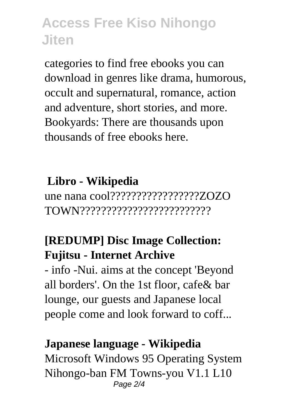categories to find free ebooks you can download in genres like drama, humorous, occult and supernatural, romance, action and adventure, short stories, and more. Bookyards: There are thousands upon thousands of free ebooks here.

### **Libro - Wikipedia**

une nana cool?????????????????ZOZO TOWN?????????????????????????

### **[REDUMP] Disc Image Collection: Fujitsu - Internet Archive**

- info -Nui. aims at the concept 'Beyond all borders'. On the 1st floor, cafe& bar lounge, our guests and Japanese local people come and look forward to coff...

#### **Japanese language - Wikipedia**

Microsoft Windows 95 Operating System Nihongo-ban FM Towns-you V1.1 L10 Page  $2/4$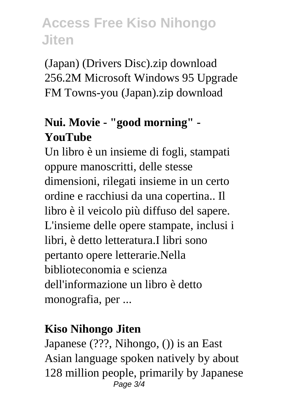(Japan) (Drivers Disc).zip download 256.2M Microsoft Windows 95 Upgrade FM Towns-you (Japan).zip download

### **Nui. Movie - "good morning" - YouTube**

Un libro è un insieme di fogli, stampati oppure manoscritti, delle stesse dimensioni, rilegati insieme in un certo ordine e racchiusi da una copertina.. Il libro è il veicolo più diffuso del sapere. L'insieme delle opere stampate, inclusi i libri, è detto letteratura.I libri sono pertanto opere letterarie.Nella biblioteconomia e scienza dell'informazione un libro è detto monografia, per ...

#### **Kiso Nihongo Jiten**

Japanese (???, Nihongo, ()) is an East Asian language spoken natively by about 128 million people, primarily by Japanese Page 3/4